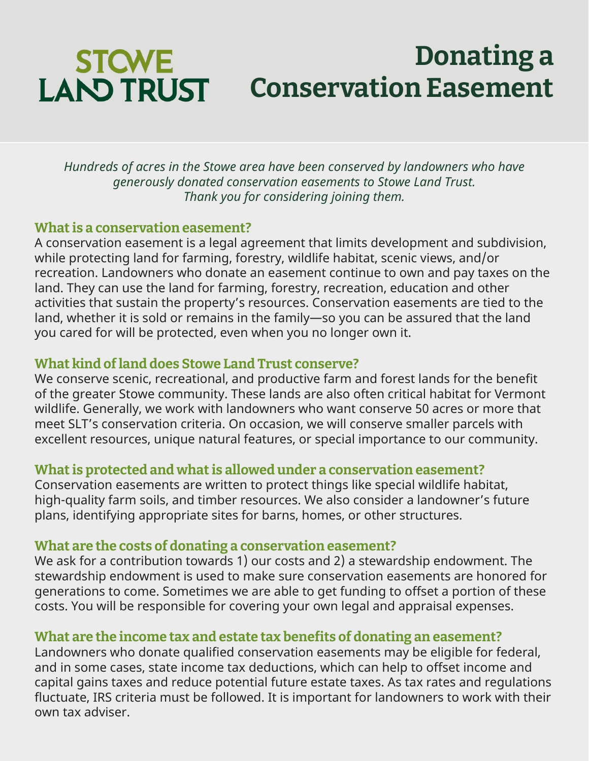# **STCWE LAND TRUST Conservation Easement**

*Hundreds of acres in the Stowe area have been conserved by landowners who have generously donated conservation easements to Stowe Land Trust. Thank you for considering joining them.*

**Donating a** 

#### **What is a conservation easement?**

A conservation easement is a legal agreement that limits development and subdivision, while protecting land for farming, forestry, wildlife habitat, scenic views, and/or recreation. Landowners who donate an easement continue to own and pay taxes on the land. They can use the land for farming, forestry, recreation, education and other activities that sustain the property's resources. Conservation easements are tied to the land, whether it is sold or remains in the family—so you can be assured that the land you cared for will be protected, even when you no longer own it.

### **What kind of land does Stowe Land Trust conserve?**

We conserve scenic, recreational, and productive farm and forest lands for the benefit of the greater Stowe community. These lands are also often critical habitat for Vermont wildlife. Generally, we work with landowners who want conserve 50 acres or more that meet SLT's conservation criteria. On occasion, we will conserve smaller parcels with excellent resources, unique natural features, or special importance to our community.

### **What is protected and what is allowed under a conservation easement?**

Conservation easements are written to protect things like special wildlife habitat, high-quality farm soils, and timber resources. We also consider a landowner's future plans, identifying appropriate sites for barns, homes, or other structures.

### **What are the costs of donating a conservation easement?**

We ask for a contribution towards 1) our costs and 2) a stewardship endowment. The stewardship endowment is used to make sure conservation easements are honored for generations to come. Sometimes we are able to get funding to offset a portion of these costs. You will be responsible for covering your own legal and appraisal expenses.

### **What are the income tax and estate tax benefits of donating an easement?**

Landowners who donate qualified conservation easements may be eligible for federal, and in some cases, state income tax deductions, which can help to offset income and capital gains taxes and reduce potential future estate taxes. As tax rates and regulations fluctuate, IRS criteria must be followed. It is important for landowners to work with their own tax adviser.